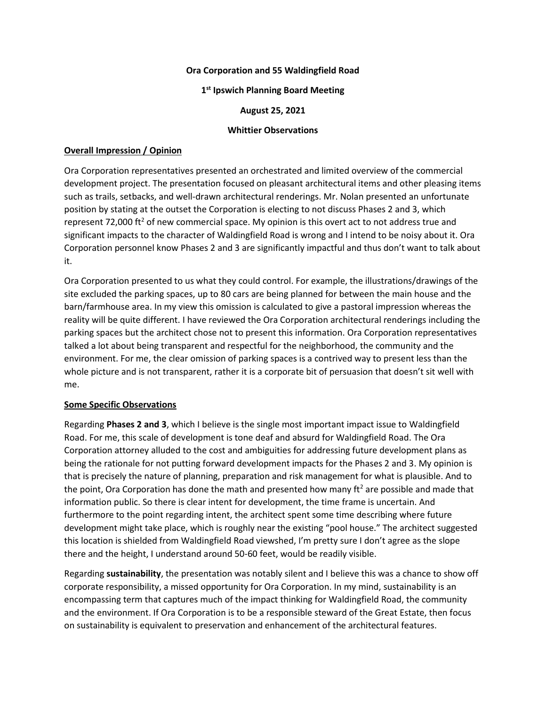## **Ora Corporation and 55 Waldingfield Road**

## **1 st Ipswich Planning Board Meeting**

### **August 25, 2021**

#### **Whittier Observations**

# **Overall Impression / Opinion**

Ora Corporation representatives presented an orchestrated and limited overview of the commercial development project. The presentation focused on pleasant architectural items and other pleasing items such as trails, setbacks, and well-drawn architectural renderings. Mr. Nolan presented an unfortunate position by stating at the outset the Corporation is electing to not discuss Phases 2 and 3, which represent 72,000 ft<sup>2</sup> of new commercial space. My opinion is this overt act to not address true and significant impacts to the character of Waldingfield Road is wrong and I intend to be noisy about it. Ora Corporation personnel know Phases 2 and 3 are significantly impactful and thus don't want to talk about it.

Ora Corporation presented to us what they could control. For example, the illustrations/drawings of the site excluded the parking spaces, up to 80 cars are being planned for between the main house and the barn/farmhouse area. In my view this omission is calculated to give a pastoral impression whereas the reality will be quite different. I have reviewed the Ora Corporation architectural renderings including the parking spaces but the architect chose not to present this information. Ora Corporation representatives talked a lot about being transparent and respectful for the neighborhood, the community and the environment. For me, the clear omission of parking spaces is a contrived way to present less than the whole picture and is not transparent, rather it is a corporate bit of persuasion that doesn't sit well with me.

# **Some Specific Observations**

Regarding **Phases 2 and 3**, which I believe is the single most important impact issue to Waldingfield Road. For me, this scale of development is tone deaf and absurd for Waldingfield Road. The Ora Corporation attorney alluded to the cost and ambiguities for addressing future development plans as being the rationale for not putting forward development impacts for the Phases 2 and 3. My opinion is that is precisely the nature of planning, preparation and risk management for what is plausible. And to the point, Ora Corporation has done the math and presented how many  $\text{ft}^2$  are possible and made that information public. So there is clear intent for development, the time frame is uncertain. And furthermore to the point regarding intent, the architect spent some time describing where future development might take place, which is roughly near the existing "pool house." The architect suggested this location is shielded from Waldingfield Road viewshed, I'm pretty sure I don't agree as the slope there and the height, I understand around 50-60 feet, would be readily visible.

Regarding **sustainability**, the presentation was notably silent and I believe this was a chance to show off corporate responsibility, a missed opportunity for Ora Corporation. In my mind, sustainability is an encompassing term that captures much of the impact thinking for Waldingfield Road, the community and the environment. If Ora Corporation is to be a responsible steward of the Great Estate, then focus on sustainability is equivalent to preservation and enhancement of the architectural features.